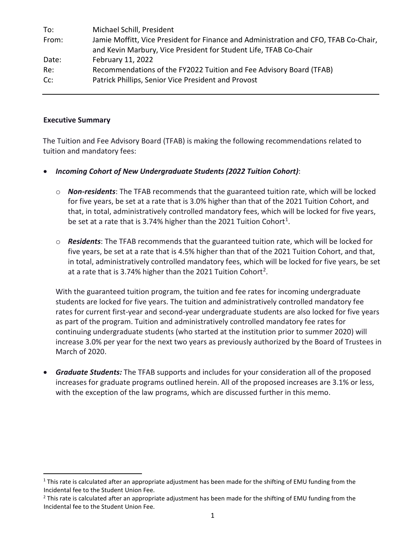| To:   | Michael Schill, President                                                            |
|-------|--------------------------------------------------------------------------------------|
| From: | Jamie Moffitt, Vice President for Finance and Administration and CFO, TFAB Co-Chair, |
|       | and Kevin Marbury, Vice President for Student Life, TFAB Co-Chair                    |
| Date: | February 11, 2022                                                                    |
| Re:   | Recommendations of the FY2022 Tuition and Fee Advisory Board (TFAB)                  |
| Cc:   | Patrick Phillips, Senior Vice President and Provost                                  |

#### **Executive Summary**

The Tuition and Fee Advisory Board (TFAB) is making the following recommendations related to tuition and mandatory fees:

- *Incoming Cohort of New Undergraduate Students (2022 Tuition Cohort)*:
	- o *Non-residents*: The TFAB recommends that the guaranteed tuition rate, which will be locked for five years, be set at a rate that is 3.0% higher than that of the 2021 Tuition Cohort, and that, in total, administratively controlled mandatory fees, which will be locked for five years, be set at a rate that is 3.74% higher than the 202[1](#page-0-0) Tuition Cohort<sup>1</sup>.
	- o *Residents*: The TFAB recommends that the guaranteed tuition rate, which will be locked for five years, be set at a rate that is 4.5% higher than that of the 2021 Tuition Cohort, and that, in total, administratively controlled mandatory fees, which will be locked for five years, be set at a rate that is 3.74% higher than the 2021 Tuition Cohort<sup>2</sup>.

With the guaranteed tuition program, the tuition and fee rates for incoming undergraduate students are locked for five years. The tuition and administratively controlled mandatory fee rates for current first-year and second-year undergraduate students are also locked for five years as part of the program. Tuition and administratively controlled mandatory fee rates for continuing undergraduate students (who started at the institution prior to summer 2020) will increase 3.0% per year for the next two years as previously authorized by the Board of Trustees in March of 2020.

• *Graduate Students:* The TFAB supports and includes for your consideration all of the proposed increases for graduate programs outlined herein. All of the proposed increases are 3.1% or less, with the exception of the law programs, which are discussed further in this memo.

<span id="page-0-0"></span> $1$  This rate is calculated after an appropriate adjustment has been made for the shifting of EMU funding from the Incidental fee to the Student Union Fee.

<span id="page-0-1"></span> $2$  This rate is calculated after an appropriate adjustment has been made for the shifting of EMU funding from the Incidental fee to the Student Union Fee.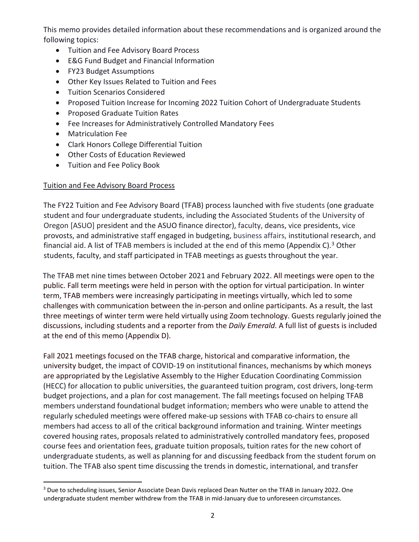This memo provides detailed information about these recommendations and is organized around the following topics:

- Tuition and Fee Advisory Board Process
- E&G Fund Budget and Financial Information
- FY23 Budget Assumptions
- Other Key Issues Related to Tuition and Fees
- Tuition Scenarios Considered
- Proposed Tuition Increase for Incoming 2022 Tuition Cohort of Undergraduate Students
- Proposed Graduate Tuition Rates
- Fee Increases for Administratively Controlled Mandatory Fees
- Matriculation Fee
- Clark Honors College Differential Tuition
- Other Costs of Education Reviewed
- Tuition and Fee Policy Book

# Tuition and Fee Advisory Board Process

The FY22 Tuition and Fee Advisory Board (TFAB) process launched with five students (one graduate student and four undergraduate students, including the Associated Students of the University of Oregon [ASUO] president and the ASUO finance director), faculty, deans, vice presidents, vice provosts, and administrative staff engaged in budgeting, business affairs, institutional research, and financial aid. A list of TFAB members is included at the end of this memo (Appendix C).<sup>[3](#page-1-0)</sup> Other students, faculty, and staff participated in TFAB meetings as guests throughout the year.

The TFAB met nine times between October 2021 and February 2022. All meetings were open to the public. Fall term meetings were held in person with the option for virtual participation. In winter term, TFAB members were increasingly participating in meetings virtually, which led to some challenges with communication between the in-person and online participants. As a result, the last three meetings of winter term were held virtually using Zoom technology. Guests regularly joined the discussions, including students and a reporter from the *Daily Emerald*. A full list of guests is included at the end of this memo (Appendix D).

Fall 2021 meetings focused on the TFAB charge, historical and comparative information, the university budget, the impact of COVID-19 on institutional finances, mechanisms by which moneys are appropriated by the Legislative Assembly to the Higher Education Coordinating Commission (HECC) for allocation to public universities, the guaranteed tuition program, cost drivers, long-term budget projections, and a plan for cost management. The fall meetings focused on helping TFAB members understand foundational budget information; members who were unable to attend the regularly scheduled meetings were offered make-up sessions with TFAB co-chairs to ensure all members had access to all of the critical background information and training. Winter meetings covered housing rates, proposals related to administratively controlled mandatory fees, proposed course fees and orientation fees, graduate tuition proposals, tuition rates for the new cohort of undergraduate students, as well as planning for and discussing feedback from the student forum on tuition. The TFAB also spent time discussing the trends in domestic, international, and transfer

<span id="page-1-0"></span><sup>&</sup>lt;sup>3</sup> Due to scheduling issues, Senior Associate Dean Davis replaced Dean Nutter on the TFAB in January 2022. One undergraduate student member withdrew from the TFAB in mid-January due to unforeseen circumstances.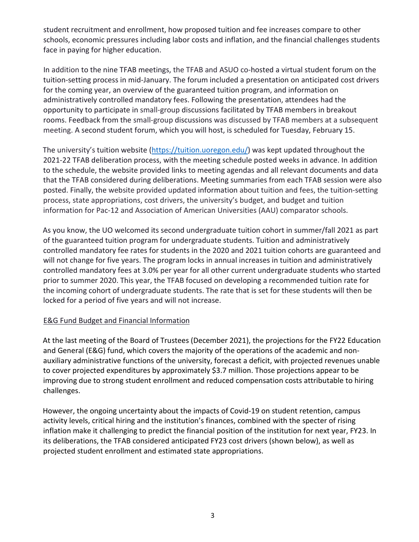student recruitment and enrollment, how proposed tuition and fee increases compare to other schools, economic pressures including labor costs and inflation, and the financial challenges students face in paying for higher education.

In addition to the nine TFAB meetings, the TFAB and ASUO co-hosted a virtual student forum on the tuition-setting process in mid-January. The forum included a presentation on anticipated cost drivers for the coming year, an overview of the guaranteed tuition program, and information on administratively controlled mandatory fees. Following the presentation, attendees had the opportunity to participate in small-group discussions facilitated by TFAB members in breakout rooms. Feedback from the small-group discussions was discussed by TFAB members at a subsequent meeting. A second student forum, which you will host, is scheduled for Tuesday, February 15.

The university's tuition website [\(https://tuition.uoregon.edu/\)](https://uoregon.edu/tuition) was kept updated throughout the 2021-22 TFAB deliberation process, with the meeting schedule posted weeks in advance. In addition to the schedule, the website provided links to meeting agendas and all relevant documents and data that the TFAB considered during deliberations. Meeting summaries from each TFAB session were also posted. Finally, the website provided updated information about tuition and fees, the tuition-setting process, state appropriations, cost drivers, the university's budget, and budget and tuition information for Pac-12 and Association of American Universities (AAU) comparator schools.

As you know, the UO welcomed its second undergraduate tuition cohort in summer/fall 2021 as part of the guaranteed tuition program for undergraduate students. Tuition and administratively controlled mandatory fee rates for students in the 2020 and 2021 tuition cohorts are guaranteed and will not change for five years. The program locks in annual increases in tuition and administratively controlled mandatory fees at 3.0% per year for all other current undergraduate students who started prior to summer 2020. This year, the TFAB focused on developing a recommended tuition rate for the incoming cohort of undergraduate students. The rate that is set for these students will then be locked for a period of five years and will not increase.

# E&G Fund Budget and Financial Information

At the last meeting of the Board of Trustees (December 2021), the projections for the FY22 Education and General (E&G) fund, which covers the majority of the operations of the academic and nonauxiliary administrative functions of the university, forecast a deficit, with projected revenues unable to cover projected expenditures by approximately \$3.7 million. Those projections appear to be improving due to strong student enrollment and reduced compensation costs attributable to hiring challenges.

However, the ongoing uncertainty about the impacts of Covid-19 on student retention, campus activity levels, critical hiring and the institution's finances, combined with the specter of rising inflation make it challenging to predict the financial position of the institution for next year, FY23. In its deliberations, the TFAB considered anticipated FY23 cost drivers (shown below), as well as projected student enrollment and estimated state appropriations.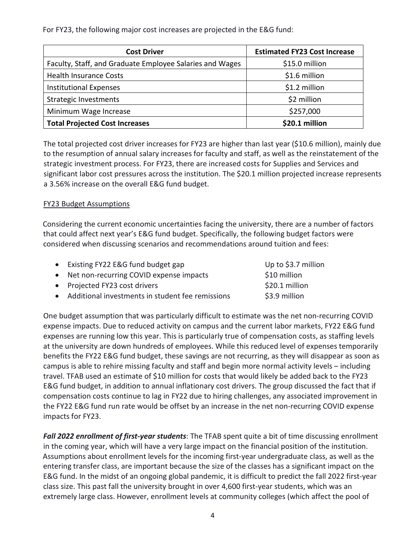For FY23, the following major cost increases are projected in the E&G fund:

| <b>Cost Driver</b>                                       | <b>Estimated FY23 Cost Increase</b> |
|----------------------------------------------------------|-------------------------------------|
| Faculty, Staff, and Graduate Employee Salaries and Wages | \$15.0 million                      |
| <b>Health Insurance Costs</b>                            | \$1.6 million                       |
| <b>Institutional Expenses</b>                            | \$1.2 million                       |
| <b>Strategic Investments</b>                             | \$2 million                         |
| Minimum Wage Increase                                    | \$257,000                           |
| <b>Total Projected Cost Increases</b>                    | \$20.1 million                      |

The total projected cost driver increases for FY23 are higher than last year (\$10.6 million), mainly due to the resumption of annual salary increases for faculty and staff, as well as the reinstatement of the strategic investment process. For FY23, there are increased costs for Supplies and Services and significant labor cost pressures across the institution. The \$20.1 million projected increase represents a 3.56% increase on the overall E&G fund budget.

# FY23 Budget Assumptions

Considering the current economic uncertainties facing the university, there are a number of factors that could affect next year's E&G fund budget. Specifically, the following budget factors were considered when discussing scenarios and recommendations around tuition and fees:

| • Existing FY22 E&G fund budget gap                | Up to \$3.7 million |
|----------------------------------------------------|---------------------|
| • Net non-recurring COVID expense impacts          | \$10 million        |
| • Projected FY23 cost drivers                      | \$20.1 million      |
| • Additional investments in student fee remissions | \$3.9 million       |

One budget assumption that was particularly difficult to estimate was the net non-recurring COVID expense impacts. Due to reduced activity on campus and the current labor markets, FY22 E&G fund expenses are running low this year. This is particularly true of compensation costs, as staffing levels at the university are down hundreds of employees. While this reduced level of expenses temporarily benefits the FY22 E&G fund budget, these savings are not recurring, as they will disappear as soon as campus is able to rehire missing faculty and staff and begin more normal activity levels – including travel. TFAB used an estimate of \$10 million for costs that would likely be added back to the FY23 E&G fund budget, in addition to annual inflationary cost drivers. The group discussed the fact that if compensation costs continue to lag in FY22 due to hiring challenges, any associated improvement in the FY22 E&G fund run rate would be offset by an increase in the net non-recurring COVID expense impacts for FY23.

*Fall 2022 enrollment of first-year students*: The TFAB spent quite a bit of time discussing enrollment in the coming year, which will have a very large impact on the financial position of the institution. Assumptions about enrollment levels for the incoming first-year undergraduate class, as well as the entering transfer class, are important because the size of the classes has a significant impact on the E&G fund. In the midst of an ongoing global pandemic, it is difficult to predict the fall 2022 first-year class size. This past fall the university brought in over 4,600 first-year students, which was an extremely large class. However, enrollment levels at community colleges (which affect the pool of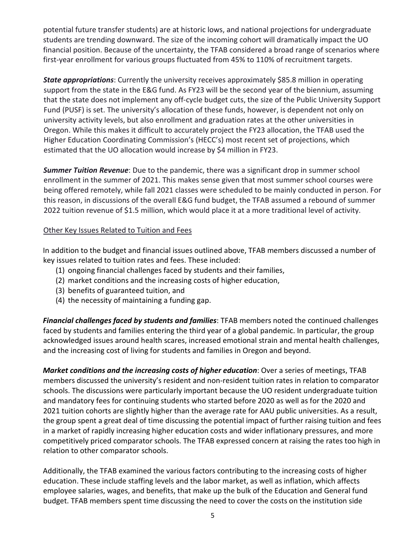potential future transfer students) are at historic lows, and national projections for undergraduate students are trending downward. The size of the incoming cohort will dramatically impact the UO financial position. Because of the uncertainty, the TFAB considered a broad range of scenarios where first-year enrollment for various groups fluctuated from 45% to 110% of recruitment targets.

*State appropriations*: Currently the university receives approximately \$85.8 million in operating support from the state in the E&G fund. As FY23 will be the second year of the biennium, assuming that the state does not implement any off-cycle budget cuts, the size of the Public University Support Fund (PUSF) is set. The university's allocation of these funds, however, is dependent not only on university activity levels, but also enrollment and graduation rates at the other universities in Oregon. While this makes it difficult to accurately project the FY23 allocation, the TFAB used the Higher Education Coordinating Commission's (HECC's) most recent set of projections, which estimated that the UO allocation would increase by \$4 million in FY23.

*Summer Tuition Revenue*: Due to the pandemic, there was a significant drop in summer school enrollment in the summer of 2021. This makes sense given that most summer school courses were being offered remotely, while fall 2021 classes were scheduled to be mainly conducted in person. For this reason, in discussions of the overall E&G fund budget, the TFAB assumed a rebound of summer 2022 tuition revenue of \$1.5 million, which would place it at a more traditional level of activity.

#### Other Key Issues Related to Tuition and Fees

In addition to the budget and financial issues outlined above, TFAB members discussed a number of key issues related to tuition rates and fees. These included:

- (1) ongoing financial challenges faced by students and their families,
- (2) market conditions and the increasing costs of higher education,
- (3) benefits of guaranteed tuition, and
- (4) the necessity of maintaining a funding gap.

*Financial challenges faced by students and families*: TFAB members noted the continued challenges faced by students and families entering the third year of a global pandemic. In particular, the group acknowledged issues around health scares, increased emotional strain and mental health challenges, and the increasing cost of living for students and families in Oregon and beyond.

*Market conditions and the increasing costs of higher education*: Over a series of meetings, TFAB members discussed the university's resident and non-resident tuition rates in relation to comparator schools. The discussions were particularly important because the UO resident undergraduate tuition and mandatory fees for continuing students who started before 2020 as well as for the 2020 and 2021 tuition cohorts are slightly higher than the average rate for AAU public universities. As a result, the group spent a great deal of time discussing the potential impact of further raising tuition and fees in a market of rapidly increasing higher education costs and wider inflationary pressures, and more competitively priced comparator schools. The TFAB expressed concern at raising the rates too high in relation to other comparator schools.

Additionally, the TFAB examined the various factors contributing to the increasing costs of higher education. These include staffing levels and the labor market, as well as inflation, which affects employee salaries, wages, and benefits, that make up the bulk of the Education and General fund budget. TFAB members spent time discussing the need to cover the costs on the institution side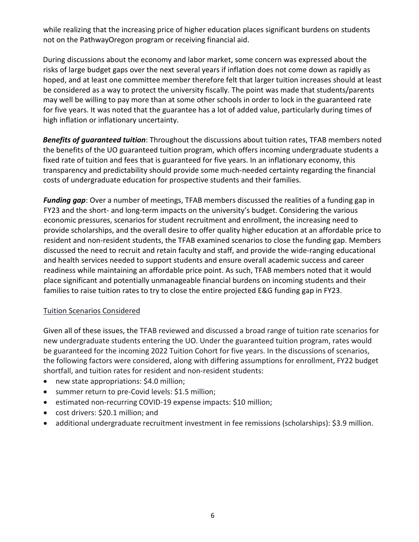while realizing that the increasing price of higher education places significant burdens on students not on the PathwayOregon program or receiving financial aid.

During discussions about the economy and labor market, some concern was expressed about the risks of large budget gaps over the next several years if inflation does not come down as rapidly as hoped, and at least one committee member therefore felt that larger tuition increases should at least be considered as a way to protect the university fiscally. The point was made that students/parents may well be willing to pay more than at some other schools in order to lock in the guaranteed rate for five years. It was noted that the guarantee has a lot of added value, particularly during times of high inflation or inflationary uncertainty.

*Benefits of guaranteed tuition*: Throughout the discussions about tuition rates, TFAB members noted the benefits of the UO guaranteed tuition program, which offers incoming undergraduate students a fixed rate of tuition and fees that is guaranteed for five years. In an inflationary economy, this transparency and predictability should provide some much-needed certainty regarding the financial costs of undergraduate education for prospective students and their families.

*Funding gap*: Over a number of meetings, TFAB members discussed the realities of a funding gap in FY23 and the short- and long-term impacts on the university's budget. Considering the various economic pressures, scenarios for student recruitment and enrollment, the increasing need to provide scholarships, and the overall desire to offer quality higher education at an affordable price to resident and non-resident students, the TFAB examined scenarios to close the funding gap. Members discussed the need to recruit and retain faculty and staff, and provide the wide-ranging educational and health services needed to support students and ensure overall academic success and career readiness while maintaining an affordable price point. As such, TFAB members noted that it would place significant and potentially unmanageable financial burdens on incoming students and their families to raise tuition rates to try to close the entire projected E&G funding gap in FY23.

# Tuition Scenarios Considered

Given all of these issues, the TFAB reviewed and discussed a broad range of tuition rate scenarios for new undergraduate students entering the UO. Under the guaranteed tuition program, rates would be guaranteed for the incoming 2022 Tuition Cohort for five years. In the discussions of scenarios, the following factors were considered, along with differing assumptions for enrollment, FY22 budget shortfall, and tuition rates for resident and non-resident students:

- new state appropriations: \$4.0 million;
- summer return to pre-Covid levels: \$1.5 million;
- estimated non-recurring COVID-19 expense impacts: \$10 million;
- cost drivers: \$20.1 million; and
- additional undergraduate recruitment investment in fee remissions (scholarships): \$3.9 million.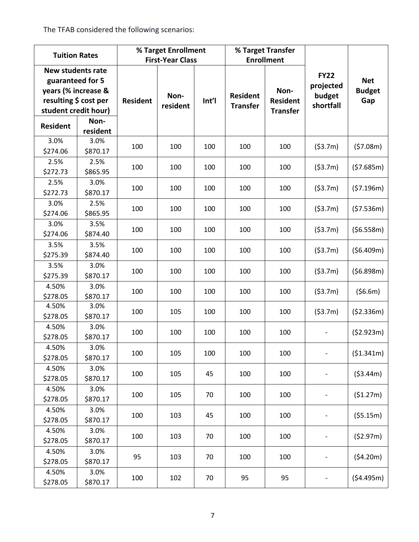The TFAB considered the following scenarios:

| <b>Tuition Rates</b>                                                                                                 |                  |                 | % Target Enrollment<br><b>First-Year Class</b> |       |                                    | % Target Transfer<br><b>Enrollment</b>     |                                                 |                                    |
|----------------------------------------------------------------------------------------------------------------------|------------------|-----------------|------------------------------------------------|-------|------------------------------------|--------------------------------------------|-------------------------------------------------|------------------------------------|
| <b>New students rate</b><br>guaranteed for 5<br>years (% increase &<br>resulting \$ cost per<br>student credit hour) |                  | <b>Resident</b> | Non-<br>resident                               | Int'l | <b>Resident</b><br><b>Transfer</b> | Non-<br><b>Resident</b><br><b>Transfer</b> | <b>FY22</b><br>projected<br>budget<br>shortfall | <b>Net</b><br><b>Budget</b><br>Gap |
| <b>Resident</b>                                                                                                      | Non-<br>resident |                 |                                                |       |                                    |                                            |                                                 |                                    |
| 3.0%<br>\$274.06                                                                                                     | 3.0%<br>\$870.17 | 100             | 100                                            | 100   | 100                                | 100                                        | (53.7m)                                         | (57.08m)                           |
| 2.5%<br>\$272.73                                                                                                     | 2.5%<br>\$865.95 | 100             | 100                                            | 100   | 100                                | 100                                        | (53.7m)                                         | (57.685m)                          |
| 2.5%<br>\$272.73                                                                                                     | 3.0%<br>\$870.17 | 100             | 100                                            | 100   | 100                                | 100                                        | (53.7m)                                         | (57.196m)                          |
| 3.0%<br>\$274.06                                                                                                     | 2.5%<br>\$865.95 | 100             | 100                                            | 100   | 100                                | 100                                        | (53.7m)                                         | (57.536m)                          |
| 3.0%<br>\$274.06                                                                                                     | 3.5%<br>\$874.40 | 100             | 100                                            | 100   | 100                                | 100                                        | (53.7m)                                         | (56.558m)                          |
| 3.5%<br>\$275.39                                                                                                     | 3.5%<br>\$874.40 | 100             | 100                                            | 100   | 100                                | 100                                        | (53.7m)                                         | (56.409m)                          |
| 3.5%<br>\$275.39                                                                                                     | 3.0%<br>\$870.17 | 100             | 100                                            | 100   | 100                                | 100                                        | (53.7m)                                         | (56.898m)                          |
| 4.50%<br>\$278.05                                                                                                    | 3.0%<br>\$870.17 | 100             | 100                                            | 100   | 100                                | 100                                        | (53.7m)                                         | (56.6m)                            |
| 4.50%<br>\$278.05                                                                                                    | 3.0%<br>\$870.17 | 100             | 105                                            | 100   | 100                                | 100                                        | (53.7m)                                         | (52.336m)                          |
| 4.50%<br>\$278.05                                                                                                    | 3.0%<br>\$870.17 | 100             | 100                                            | 100   | 100                                | 100                                        |                                                 | (52.923m)                          |
| 4.50%<br>\$278.05                                                                                                    | 3.0%<br>\$870.17 | 100             | 105                                            | 100   | 100                                | 100                                        |                                                 | (\$1.341m)                         |
| 4.50%<br>\$278.05                                                                                                    | 3.0%<br>\$870.17 | 100             | 105                                            | 45    | 100                                | 100                                        |                                                 | (53.44m)                           |
| 4.50%<br>\$278.05                                                                                                    | 3.0%<br>\$870.17 | 100             | 105                                            | 70    | 100                                | 100                                        |                                                 | (51.27m)                           |
| 4.50%<br>\$278.05                                                                                                    | 3.0%<br>\$870.17 | 100             | 103                                            | 45    | 100                                | 100                                        |                                                 | (55.15m)                           |
| 4.50%<br>\$278.05                                                                                                    | 3.0%<br>\$870.17 | 100             | 103                                            | 70    | 100                                | 100                                        |                                                 | (52.97m)                           |
| 4.50%<br>\$278.05                                                                                                    | 3.0%<br>\$870.17 | 95              | 103                                            | 70    | 100                                | 100                                        |                                                 | (54.20m)                           |
| 4.50%<br>\$278.05                                                                                                    | 3.0%<br>\$870.17 | 100             | 102                                            | 70    | 95                                 | 95                                         |                                                 | ( \$4.495m)                        |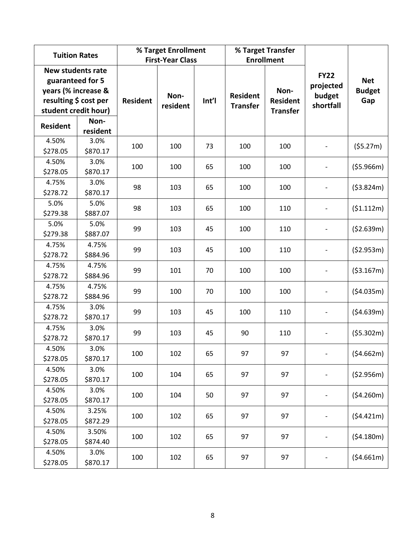| <b>Tuition Rates</b>                                                                                                 |                   |                 | % Target Enrollment<br><b>First-Year Class</b> |       |                                    | % Target Transfer<br><b>Enrollment</b>     |                                                 |                                    |
|----------------------------------------------------------------------------------------------------------------------|-------------------|-----------------|------------------------------------------------|-------|------------------------------------|--------------------------------------------|-------------------------------------------------|------------------------------------|
| <b>New students rate</b><br>guaranteed for 5<br>years (% increase &<br>resulting \$ cost per<br>student credit hour) |                   | <b>Resident</b> | Non-<br>resident                               | Int'l | <b>Resident</b><br><b>Transfer</b> | Non-<br><b>Resident</b><br><b>Transfer</b> | <b>FY22</b><br>projected<br>budget<br>shortfall | <b>Net</b><br><b>Budget</b><br>Gap |
| <b>Resident</b>                                                                                                      | Non-<br>resident  |                 |                                                |       |                                    |                                            |                                                 |                                    |
| 4.50%<br>\$278.05                                                                                                    | 3.0%<br>\$870.17  | 100             | 100                                            | 73    | 100                                | 100                                        |                                                 | (55.27m)                           |
| 4.50%<br>\$278.05                                                                                                    | 3.0%<br>\$870.17  | 100             | 100                                            | 65    | 100                                | 100                                        |                                                 | (55.966m)                          |
| 4.75%<br>\$278.72                                                                                                    | 3.0%<br>\$870.17  | 98              | 103                                            | 65    | 100                                | 100                                        |                                                 | (53.824m)                          |
| 5.0%<br>\$279.38                                                                                                     | 5.0%<br>\$887.07  | 98              | 103                                            | 65    | 100                                | 110                                        |                                                 | (\$1.112m)                         |
| 5.0%<br>\$279.38                                                                                                     | 5.0%<br>\$887.07  | 99              | 103                                            | 45    | 100                                | 110                                        |                                                 | (52.639m)                          |
| 4.75%<br>\$278.72                                                                                                    | 4.75%<br>\$884.96 | 99              | 103                                            | 45    | 100                                | 110                                        |                                                 | (52.953m)                          |
| 4.75%<br>\$278.72                                                                                                    | 4.75%<br>\$884.96 | 99              | 101                                            | 70    | 100                                | 100                                        |                                                 | ( \$3.167m)                        |
| 4.75%<br>\$278.72                                                                                                    | 4.75%<br>\$884.96 | 99              | 100                                            | 70    | 100                                | 100                                        |                                                 | (54.035m)                          |
| 4.75%<br>\$278.72                                                                                                    | 3.0%<br>\$870.17  | 99              | 103                                            | 45    | 100                                | 110                                        |                                                 | (54.639m)                          |
| 4.75%<br>\$278.72                                                                                                    | 3.0%<br>\$870.17  | 99              | 103                                            | 45    | 90                                 | 110                                        |                                                 | (55.302m)                          |
| 4.50%<br>\$278.05                                                                                                    | 3.0%<br>\$870.17  | 100             | 102                                            | 65    | 97                                 | 97                                         |                                                 | (\$4.662m)                         |
| 4.50%<br>\$278.05                                                                                                    | 3.0%<br>\$870.17  | 100             | 104                                            | 65    | 97                                 | 97                                         |                                                 | (52.956m)                          |
| 4.50%<br>\$278.05                                                                                                    | 3.0%<br>\$870.17  | 100             | 104                                            | 50    | 97                                 | 97                                         |                                                 | (54.260m)                          |
| 4.50%<br>\$278.05                                                                                                    | 3.25%<br>\$872.29 | 100             | 102                                            | 65    | 97                                 | 97                                         |                                                 | (54.421m)                          |
| 4.50%<br>\$278.05                                                                                                    | 3.50%<br>\$874.40 | 100             | 102                                            | 65    | 97                                 | 97                                         |                                                 | (54.180m)                          |
| 4.50%<br>\$278.05                                                                                                    | 3.0%<br>\$870.17  | 100             | 102                                            | 65    | 97                                 | 97                                         |                                                 | (54.661m)                          |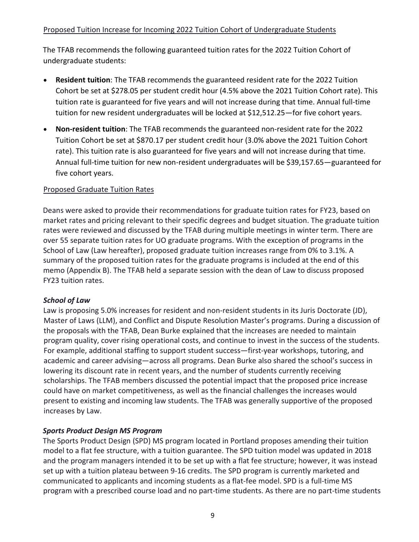# Proposed Tuition Increase for Incoming 2022 Tuition Cohort of Undergraduate Students

The TFAB recommends the following guaranteed tuition rates for the 2022 Tuition Cohort of undergraduate students:

- **Resident tuition**: The TFAB recommends the guaranteed resident rate for the 2022 Tuition Cohort be set at \$278.05 per student credit hour (4.5% above the 2021 Tuition Cohort rate). This tuition rate is guaranteed for five years and will not increase during that time. Annual full-time tuition for new resident undergraduates will be locked at \$12,512.25—for five cohort years.
- **Non-resident tuition**: The TFAB recommends the guaranteed non-resident rate for the 2022 Tuition Cohort be set at \$870.17 per student credit hour (3.0% above the 2021 Tuition Cohort rate). This tuition rate is also guaranteed for five years and will not increase during that time. Annual full-time tuition for new non-resident undergraduates will be \$39,157.65—guaranteed for five cohort years.

# Proposed Graduate Tuition Rates

Deans were asked to provide their recommendations for graduate tuition rates for FY23, based on market rates and pricing relevant to their specific degrees and budget situation. The graduate tuition rates were reviewed and discussed by the TFAB during multiple meetings in winter term. There are over 55 separate tuition rates for UO graduate programs. With the exception of programs in the School of Law (Law hereafter), proposed graduate tuition increases range from 0% to 3.1%. A summary of the proposed tuition rates for the graduate programs is included at the end of this memo (Appendix B). The TFAB held a separate session with the dean of Law to discuss proposed FY23 tuition rates.

# *School of Law*

Law is proposing 5.0% increases for resident and non-resident students in its Juris Doctorate (JD), Master of Laws (LLM), and Conflict and Dispute Resolution Master's programs. During a discussion of the proposals with the TFAB, Dean Burke explained that the increases are needed to maintain program quality, cover rising operational costs, and continue to invest in the success of the students. For example, additional staffing to support student success—first-year workshops, tutoring, and academic and career advising—across all programs. Dean Burke also shared the school's success in lowering its discount rate in recent years, and the number of students currently receiving scholarships. The TFAB members discussed the potential impact that the proposed price increase could have on market competitiveness, as well as the financial challenges the increases would present to existing and incoming law students. The TFAB was generally supportive of the proposed increases by Law.

# *Sports Product Design MS Program*

The Sports Product Design (SPD) MS program located in Portland proposes amending their tuition model to a flat fee structure, with a tuition guarantee. The SPD tuition model was updated in 2018 and the program managers intended it to be set up with a flat fee structure; however, it was instead set up with a tuition plateau between 9-16 credits. The SPD program is currently marketed and communicated to applicants and incoming students as a flat-fee model. SPD is a full-time MS program with a prescribed course load and no part-time students. As there are no part-time students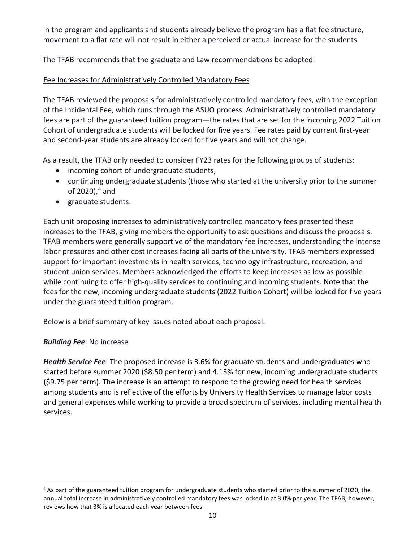in the program and applicants and students already believe the program has a flat fee structure, movement to a flat rate will not result in either a perceived or actual increase for the students.

The TFAB recommends that the graduate and Law recommendations be adopted.

# Fee Increases for Administratively Controlled Mandatory Fees

The TFAB reviewed the proposals for administratively controlled mandatory fees, with the exception of the Incidental Fee, which runs through the ASUO process. Administratively controlled mandatory fees are part of the guaranteed tuition program—the rates that are set for the incoming 2022 Tuition Cohort of undergraduate students will be locked for five years. Fee rates paid by current first-year and second-year students are already locked for five years and will not change.

As a result, the TFAB only needed to consider FY23 rates for the following groups of students:

- incoming cohort of undergraduate students,
- continuing undergraduate students (those who started at the university prior to the summer of 2020), [4](#page-9-0) and
- graduate students.

Each unit proposing increases to administratively controlled mandatory fees presented these increases to the TFAB, giving members the opportunity to ask questions and discuss the proposals. TFAB members were generally supportive of the mandatory fee increases, understanding the intense labor pressures and other cost increases facing all parts of the university. TFAB members expressed support for important investments in health services, technology infrastructure, recreation, and student union services. Members acknowledged the efforts to keep increases as low as possible while continuing to offer high-quality services to continuing and incoming students. Note that the fees for the new, incoming undergraduate students (2022 Tuition Cohort) will be locked for five years under the guaranteed tuition program.

Below is a brief summary of key issues noted about each proposal.

# *Building Fee*: No increase

*Health Service Fee*: The proposed increase is 3.6% for graduate students and undergraduates who started before summer 2020 (\$8.50 per term) and 4.13% for new, incoming undergraduate students (\$9.75 per term). The increase is an attempt to respond to the growing need for health services among students and is reflective of the efforts by University Health Services to manage labor costs and general expenses while working to provide a broad spectrum of services, including mental health services.

<span id="page-9-0"></span><sup>&</sup>lt;sup>4</sup> As part of the guaranteed tuition program for undergraduate students who started prior to the summer of 2020, the annual total increase in administratively controlled mandatory fees was locked in at 3.0% per year. The TFAB, however, reviews how that 3% is allocated each year between fees.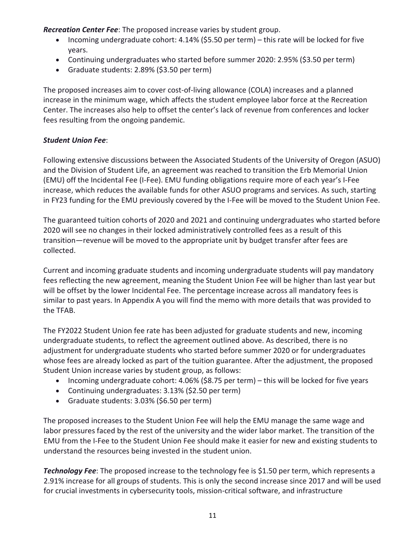*Recreation Center Fee*: The proposed increase varies by student group.

- Incoming undergraduate cohort: 4.14% (\$5.50 per term) this rate will be locked for five years.
- Continuing undergraduates who started before summer 2020: 2.95% (\$3.50 per term)
- Graduate students: 2.89% (\$3.50 per term)

The proposed increases aim to cover cost-of-living allowance (COLA) increases and a planned increase in the minimum wage, which affects the student employee labor force at the Recreation Center. The increases also help to offset the center's lack of revenue from conferences and locker fees resulting from the ongoing pandemic.

# *Student Union Fee*:

Following extensive discussions between the Associated Students of the University of Oregon (ASUO) and the Division of Student Life, an agreement was reached to transition the Erb Memorial Union (EMU) off the Incidental Fee (I-Fee). EMU funding obligations require more of each year's I-Fee increase, which reduces the available funds for other ASUO programs and services. As such, starting in FY23 funding for the EMU previously covered by the I-Fee will be moved to the Student Union Fee.

The guaranteed tuition cohorts of 2020 and 2021 and continuing undergraduates who started before 2020 will see no changes in their locked administratively controlled fees as a result of this transition—revenue will be moved to the appropriate unit by budget transfer after fees are collected.

Current and incoming graduate students and incoming undergraduate students will pay mandatory fees reflecting the new agreement, meaning the Student Union Fee will be higher than last year but will be offset by the lower Incidental Fee. The percentage increase across all mandatory fees is similar to past years. In Appendix A you will find the memo with more details that was provided to the TFAB.

The FY2022 Student Union fee rate has been adjusted for graduate students and new, incoming undergraduate students, to reflect the agreement outlined above. As described, there is no adjustment for undergraduate students who started before summer 2020 or for undergraduates whose fees are already locked as part of the tuition guarantee. After the adjustment, the proposed Student Union increase varies by student group, as follows:

- Incoming undergraduate cohort: 4.06% (\$8.75 per term) this will be locked for five years
- Continuing undergraduates: 3.13% (\$2.50 per term)
- Graduate students: 3.03% (\$6.50 per term)

The proposed increases to the Student Union Fee will help the EMU manage the same wage and labor pressures faced by the rest of the university and the wider labor market. The transition of the EMU from the I-Fee to the Student Union Fee should make it easier for new and existing students to understand the resources being invested in the student union.

*Technology Fee*: The proposed increase to the technology fee is \$1.50 per term, which represents a 2.91% increase for all groups of students. This is only the second increase since 2017 and will be used for crucial investments in cybersecurity tools, mission-critical software, and infrastructure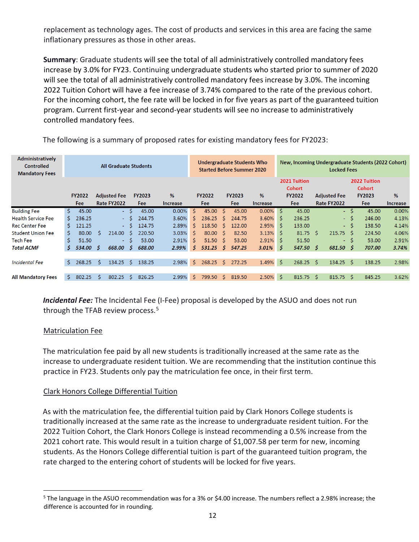replacement as technology ages. The cost of products and services in this area are facing the same inflationary pressures as those in other areas.

**Summary**: Graduate students will see the total of all administratively controlled mandatory fees increase by 3.0% for FY23. Continuing undergraduate students who started prior to summer of 2020 will see the total of all administratively controlled mandatory fees increase by 3.0%. The incoming 2022 Tuition Cohort will have a fee increase of 3.74% compared to the rate of the previous cohort. For the incoming cohort, the fee rate will be locked in for five years as part of the guaranteed tuition program. Current first-year and second-year students will see no increase to administratively controlled mandatory fees.

| Administratively<br><b>Controlled</b><br><b>Mandatory Fees</b> |    | Undergraduate Students Who<br><b>All Graduate Students</b><br><b>Started Before Summer 2020</b> |    |                     |              |               |                 | New, Incoming Undergraduate Students (2022 Cohort)<br><b>Locked Fees</b> |    |                        |    |               |                 |    |                               |    |                     |      |                               |                 |
|----------------------------------------------------------------|----|-------------------------------------------------------------------------------------------------|----|---------------------|--------------|---------------|-----------------|--------------------------------------------------------------------------|----|------------------------|----|---------------|-----------------|----|-------------------------------|----|---------------------|------|-------------------------------|-----------------|
|                                                                |    |                                                                                                 |    |                     |              |               |                 |                                                                          |    |                        |    |               |                 |    | 2021 Tuition<br><b>Cohort</b> |    |                     |      | 2022 Tuition<br><b>Cohort</b> |                 |
|                                                                |    | <b>FY2022</b>                                                                                   |    | <b>Adjusted Fee</b> |              | <b>FY2023</b> | %               |                                                                          |    | <b>FY2022</b>          |    | <b>FY2023</b> | %               |    | <b>FY2022</b>                 |    | <b>Adjusted Fee</b> |      | <b>FY2023</b>                 | %               |
|                                                                |    | Fee                                                                                             |    | Rate FY2022         |              | Fee           | <b>Increase</b> |                                                                          |    | Fee                    |    | Fee           | <b>Increase</b> |    | Fee                           |    | Rate FY2022         |      | Fee                           | <b>Increase</b> |
| <b>Building Fee</b>                                            | Ŝ. | 45.00                                                                                           |    |                     | - \$         | 45.00         |                 | 0.00%                                                                    | Ŝ. | 45.00 <sub>5</sub>     |    | 45.00         | $0.00\%$ \$     |    | 45.00                         |    |                     | - \$ | 45.00                         | 0.00%           |
| <b>Health Service Fee</b>                                      | S. | 236.25                                                                                          |    |                     | $-S$         | 244.75        |                 | 3.60%                                                                    | Ś. | 236.25                 | S. | 244.75        | 3.60%           | S. | 236.25                        |    |                     | - \$ | 246.00                        | 4.13%           |
| <b>Rec Center Fee</b>                                          | S. | 121.25                                                                                          |    |                     | $-S$         | 124.75        |                 | 2.89%                                                                    | Š. | $118.50 \quad S$       |    | 122.00        | 2.95%           | S. | 133.00                        |    |                     | - \$ | 138.50                        | 4.14%           |
| <b>Student Union Fee</b>                                       | S. | 80.00                                                                                           | Ŝ. | 214.00              | -S           | 220.50        |                 | 3.03%                                                                    | Ŝ. | 80.00 <sup>5</sup>     |    | 82.50         | $3.13\%$ \$     |    | $81.75$ \$                    |    | $215.75$ \$         |      | 224.50                        | 4.06%           |
| <b>Tech Fee</b>                                                | Ŝ. | 51.50                                                                                           |    | $\blacksquare$      | S.           | 53.00         |                 | 2.91%                                                                    | Ś. | $51.50 \quad \text{S}$ |    | 53.00         | 2.91%           | S. | 51.50                         |    | $\sim 100$          | -Ś   | 53.00                         | 2.91%           |
| <b>Total ACMF</b>                                              | S. | 534.00                                                                                          | -Ś | 668.00              | Ŝ            | 688.00        |                 | 2.99%                                                                    |    | $5\quad 531.25\quad 5$ |    | 547.25        | 3.01%           | Ŝ  | 547.50 \$                     |    | 681.50 \$           |      | 707.00                        | 3.74%           |
|                                                                |    |                                                                                                 |    |                     |              |               |                 |                                                                          |    |                        |    |               |                 |    |                               |    |                     |      |                               |                 |
| <b>Incidental Fee</b>                                          | Ŝ. | 268.25                                                                                          | Ŝ. | 134.25              | Ŝ            | 138.25        |                 | 2.98%                                                                    | Ś. | $268.25$ \$            |    | 272.25        | 1.49%           | Ŝ. | 268.25                        | Ŝ. | $134.25$ \$         |      | 138.25                        | 2.98%           |
|                                                                |    |                                                                                                 |    |                     |              |               |                 |                                                                          |    |                        |    |               |                 |    |                               |    |                     |      |                               |                 |
| <b>All Mandatory Fees</b>                                      | Ŝ. | 802.25                                                                                          | Ŝ  | 802.25              | <sub>S</sub> | 826.25        |                 | 2.99%                                                                    | Ś. | 799.50 \$              |    | 819.50        | $2.50\%$ \$     |    | 815.75                        | -Ś | $815.75$ \$         |      | 845.25                        | 3.62%           |

The following is a summary of proposed rates for existing mandatory fees for FY2023:

*Incidental Fee:* The Incidental Fee (I-Fee) proposal is developed by the ASUO and does not run through the TFAB review process.<sup>[5](#page-11-0)</sup>

#### Matriculation Fee

The matriculation fee paid by all new students is traditionally increased at the same rate as the increase to undergraduate resident tuition. We are recommending that the institution continue this practice in FY23. Students only pay the matriculation fee once, in their first term.

# Clark Honors College Differential Tuition

As with the matriculation fee, the differential tuition paid by Clark Honors College students is traditionally increased at the same rate as the increase to undergraduate resident tuition. For the 2022 Tuition Cohort, the Clark Honors College is instead recommending a 0.5% increase from the 2021 cohort rate. This would result in a tuition charge of \$1,007.58 per term for new, incoming students. As the Honors College differential tuition is part of the guaranteed tuition program, the rate charged to the entering cohort of students will be locked for five years.

<span id="page-11-0"></span><sup>&</sup>lt;sup>5</sup> The language in the ASUO recommendation was for a 3% or \$4.00 increase. The numbers reflect a 2.98% increase; the difference is accounted for in rounding.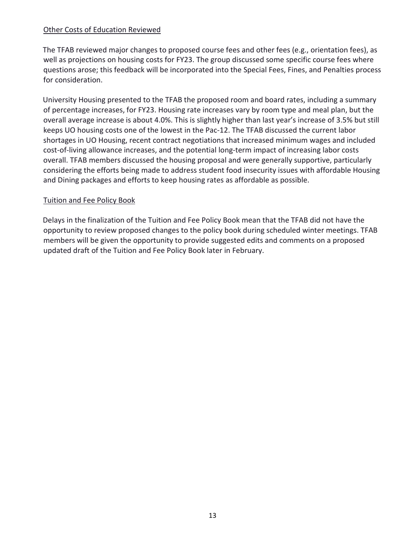#### Other Costs of Education Reviewed

The TFAB reviewed major changes to proposed course fees and other fees (e.g., orientation fees), as well as projections on housing costs for FY23. The group discussed some specific course fees where questions arose; this feedback will be incorporated into the Special Fees, Fines, and Penalties process for consideration.

University Housing presented to the TFAB the proposed room and board rates, including a summary of percentage increases, for FY23. Housing rate increases vary by room type and meal plan, but the overall average increase is about 4.0%. This is slightly higher than last year's increase of 3.5% but still keeps UO housing costs one of the lowest in the Pac-12. The TFAB discussed the current labor shortages in UO Housing, recent contract negotiations that increased minimum wages and included cost-of-living allowance increases, and the potential long-term impact of increasing labor costs overall. TFAB members discussed the housing proposal and were generally supportive, particularly considering the efforts being made to address student food insecurity issues with affordable Housing and Dining packages and efforts to keep housing rates as affordable as possible.

#### Tuition and Fee Policy Book

Delays in the finalization of the Tuition and Fee Policy Book mean that the TFAB did not have the opportunity to review proposed changes to the policy book during scheduled winter meetings. TFAB members will be given the opportunity to provide suggested edits and comments on a proposed updated draft of the Tuition and Fee Policy Book later in February.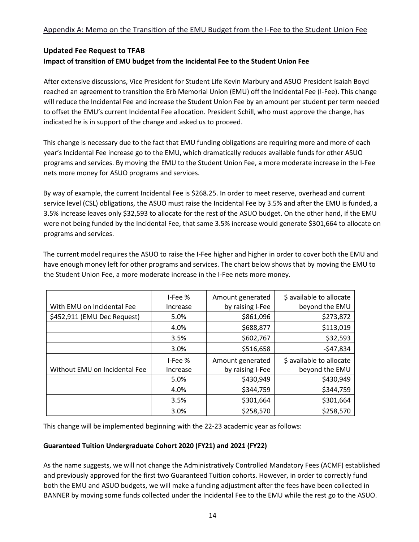# **Updated Fee Request to TFAB**

#### **Impact of transition of EMU budget from the Incidental Fee to the Student Union Fee**

After extensive discussions, Vice President for Student Life Kevin Marbury and ASUO President Isaiah Boyd reached an agreement to transition the Erb Memorial Union (EMU) off the Incidental Fee (I-Fee). This change will reduce the Incidental Fee and increase the Student Union Fee by an amount per student per term needed to offset the EMU's current Incidental Fee allocation. President Schill, who must approve the change, has indicated he is in support of the change and asked us to proceed.

This change is necessary due to the fact that EMU funding obligations are requiring more and more of each year's Incidental Fee increase go to the EMU, which dramatically reduces available funds for other ASUO programs and services. By moving the EMU to the Student Union Fee, a more moderate increase in the I-Fee nets more money for ASUO programs and services.

By way of example, the current Incidental Fee is \$268.25. In order to meet reserve, overhead and current service level (CSL) obligations, the ASUO must raise the Incidental Fee by 3.5% and after the EMU is funded, a 3.5% increase leaves only \$32,593 to allocate for the rest of the ASUO budget. On the other hand, if the EMU were not being funded by the Incidental Fee, that same 3.5% increase would generate \$301,664 to allocate on programs and services.

The current model requires the ASUO to raise the I-Fee higher and higher in order to cover both the EMU and have enough money left for other programs and services. The chart below shows that by moving the EMU to the Student Union Fee, a more moderate increase in the I-Fee nets more money.

|                               | I-Fee %  | Amount generated | \$ available to allocate |
|-------------------------------|----------|------------------|--------------------------|
| With EMU on Incidental Fee    | Increase | by raising I-Fee | beyond the EMU           |
| \$452,911 (EMU Dec Request)   | 5.0%     | \$861,096        | \$273,872                |
|                               | 4.0%     | \$688,877        | \$113,019                |
|                               | 3.5%     | \$602,767        | \$32,593                 |
|                               | 3.0%     | \$516,658        | $-547,834$               |
|                               | I-Fee %  | Amount generated | \$ available to allocate |
| Without EMU on Incidental Fee | Increase | by raising I-Fee | beyond the EMU           |
|                               | 5.0%     | \$430,949        | \$430,949                |
|                               | 4.0%     | \$344,759        | \$344,759                |
|                               | 3.5%     | \$301,664        | \$301,664                |
|                               | 3.0%     | \$258,570        | \$258,570                |

This change will be implemented beginning with the 22-23 academic year as follows:

#### **Guaranteed Tuition Undergraduate Cohort 2020 (FY21) and 2021 (FY22)**

As the name suggests, we will not change the Administratively Controlled Mandatory Fees (ACMF) established and previously approved for the first two Guaranteed Tuition cohorts. However, in order to correctly fund both the EMU and ASUO budgets, we will make a funding adjustment after the fees have been collected in BANNER by moving some funds collected under the Incidental Fee to the EMU while the rest go to the ASUO.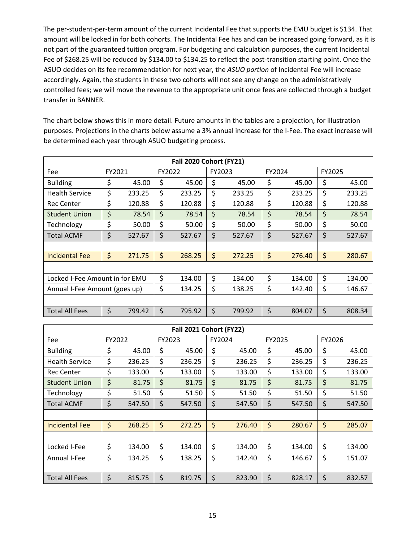The per-student-per-term amount of the current Incidental Fee that supports the EMU budget is \$134. That amount will be locked in for both cohorts. The Incidental Fee has and can be increased going forward, as it is not part of the guaranteed tuition program. For budgeting and calculation purposes, the current Incidental Fee of \$268.25 will be reduced by \$134.00 to \$134.25 to reflect the post-transition starting point. Once the ASUO decides on its fee recommendation for next year, the *ASUO portion* of Incidental Fee will increase accordingly. Again, the students in these two cohorts will not see any change on the administratively controlled fees; we will move the revenue to the appropriate unit once fees are collected through a budget transfer in BANNER.

The chart below shows this in more detail. Future amounts in the tables are a projection, for illustration purposes. Projections in the charts below assume a 3% annual increase for the I-Fee. The exact increase will be determined each year through ASUO budgeting process.

| <b>Fall 2020 Cohort (FY21)</b> |        |        |    |        |    |        |        |        |        |        |
|--------------------------------|--------|--------|----|--------|----|--------|--------|--------|--------|--------|
| Fee                            | FY2021 |        |    | FY2022 |    | FY2023 | FY2024 |        | FY2025 |        |
| <b>Building</b>                | \$     | 45.00  | \$ | 45.00  | \$ | 45.00  | \$     | 45.00  | \$     | 45.00  |
| <b>Health Service</b>          | \$     | 233.25 | \$ | 233.25 | \$ | 233.25 | \$     | 233.25 | \$     | 233.25 |
| <b>Rec Center</b>              | \$     | 120.88 | \$ | 120.88 | \$ | 120.88 | \$     | 120.88 | \$     | 120.88 |
| <b>Student Union</b>           | \$     | 78.54  | \$ | 78.54  | \$ | 78.54  | \$     | 78.54  | \$     | 78.54  |
| Technology                     | \$     | 50.00  | \$ | 50.00  | \$ | 50.00  | \$     | 50.00  | \$     | 50.00  |
| <b>Total ACMF</b>              | \$     | 527.67 | \$ | 527.67 | \$ | 527.67 | \$     | 527.67 | \$     | 527.67 |
|                                |        |        |    |        |    |        |        |        |        |        |
| <b>Incidental Fee</b>          | \$     | 271.75 | \$ | 268.25 | \$ | 272.25 | \$     | 276.40 | \$     | 280.67 |
|                                |        |        |    |        |    |        |        |        |        |        |
| Locked I-Fee Amount in for EMU |        |        | \$ | 134.00 | \$ | 134.00 | \$     | 134.00 | \$     | 134.00 |
| Annual I-Fee Amount (goes up)  |        |        |    | 134.25 | \$ | 138.25 | \$     | 142.40 | \$     | 146.67 |
|                                |        |        |    |        |    |        |        |        |        |        |
| <b>Total All Fees</b>          | \$     | 799.42 | \$ | 795.92 | \$ | 799.92 | \$     | 804.07 | \$     | 808.34 |

| Fall 2021 Cohort (FY22) |        |        |    |        |    |        |    |        |    |        |  |
|-------------------------|--------|--------|----|--------|----|--------|----|--------|----|--------|--|
| Fee                     | FY2022 |        |    | FY2023 |    | FY2024 |    | FY2025 |    | FY2026 |  |
| <b>Building</b>         | \$     | 45.00  | \$ | 45.00  | \$ | 45.00  | \$ | 45.00  | \$ | 45.00  |  |
| <b>Health Service</b>   | \$     | 236.25 | \$ | 236.25 | \$ | 236.25 | \$ | 236.25 | \$ | 236.25 |  |
| <b>Rec Center</b>       | \$     | 133.00 | \$ | 133.00 | \$ | 133.00 | \$ | 133.00 | \$ | 133.00 |  |
| <b>Student Union</b>    | \$     | 81.75  | \$ | 81.75  | \$ | 81.75  | \$ | 81.75  | \$ | 81.75  |  |
| Technology              | \$     | 51.50  | \$ | 51.50  | \$ | 51.50  | \$ | 51.50  | \$ | 51.50  |  |
| <b>Total ACMF</b>       | \$     | 547.50 | \$ | 547.50 | \$ | 547.50 | \$ | 547.50 | \$ | 547.50 |  |
|                         |        |        |    |        |    |        |    |        |    |        |  |
| Incidental Fee          | \$     | 268.25 | \$ | 272.25 | \$ | 276.40 | \$ | 280.67 | \$ | 285.07 |  |
|                         |        |        |    |        |    |        |    |        |    |        |  |
| Locked I-Fee            | \$     | 134.00 | \$ | 134.00 | \$ | 134.00 | \$ | 134.00 | \$ | 134.00 |  |
| Annual I-Fee            | \$     | 134.25 | \$ | 138.25 | \$ | 142.40 | \$ | 146.67 | \$ | 151.07 |  |
|                         |        |        |    |        |    |        |    |        |    |        |  |
| <b>Total All Fees</b>   | \$     | 815.75 | \$ | 819.75 | \$ | 823.90 | \$ | 828.17 | \$ | 832.57 |  |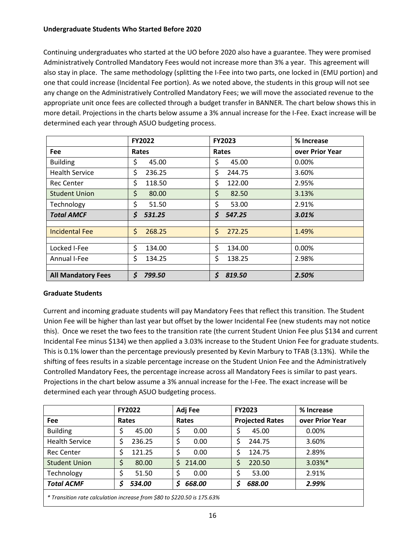#### **Undergraduate Students Who Started Before 2020**

Continuing undergraduates who started at the UO before 2020 also have a guarantee. They were promised Administratively Controlled Mandatory Fees would not increase more than 3% a year. This agreement will also stay in place. The same methodology (splitting the I-Fee into two parts, one locked in (EMU portion) and one that could increase (Incidental Fee portion). As we noted above, the students in this group will not see any change on the Administratively Controlled Mandatory Fees; we will move the associated revenue to the appropriate unit once fees are collected through a budget transfer in BANNER. The chart below shows this in more detail. Projections in the charts below assume a 3% annual increase for the I-Fee. Exact increase will be determined each year through ASUO budgeting process.

|                           | <b>FY2022</b> | <b>FY2023</b> | % Increase      |
|---------------------------|---------------|---------------|-----------------|
| <b>Fee</b>                | Rates         | Rates         | over Prior Year |
| <b>Building</b>           | \$<br>45.00   | \$<br>45.00   | $0.00\%$        |
| <b>Health Service</b>     | \$<br>236.25  | \$<br>244.75  | 3.60%           |
| <b>Rec Center</b>         | \$<br>118.50  | \$<br>122.00  | 2.95%           |
| <b>Student Union</b>      | \$<br>80.00   | \$<br>82.50   | 3.13%           |
| Technology                | \$<br>51.50   | \$<br>53.00   | 2.91%           |
| <b>Total AMCF</b>         | \$<br>531.25  | \$<br>547.25  | 3.01%           |
|                           |               |               |                 |
| <b>Incidental Fee</b>     | \$<br>268.25  | \$<br>272.25  | 1.49%           |
|                           |               |               |                 |
| Locked I-Fee              | \$<br>134.00  | \$<br>134.00  | 0.00%           |
| Annual I-Fee              | \$<br>134.25  | \$<br>138.25  | 2.98%           |
|                           |               |               |                 |
| <b>All Mandatory Fees</b> | \$<br>799.50  | \$<br>819.50  | 2.50%           |

#### **Graduate Students**

Current and incoming graduate students will pay Mandatory Fees that reflect this transition. The Student Union Fee will be higher than last year but offset by the lower Incidental Fee (new students may not notice this). Once we reset the two fees to the transition rate (the current Student Union Fee plus \$134 and current Incidental Fee minus \$134) we then applied a 3.03% increase to the Student Union Fee for graduate students. This is 0.1% lower than the percentage previously presented by Kevin Marbury to TFAB (3.13%). While the shifting of fees results in a sizable percentage increase on the Student Union Fee and the Administratively Controlled Mandatory Fees, the percentage increase across all Mandatory Fees is similar to past years. Projections in the chart below assume a 3% annual increase for the I-Fee. The exact increase will be determined each year through ASUO budgeting process.

|                                                                                        | <b>FY2022</b> | Adj Fee     | <b>FY2023</b>          | % Increase      |
|----------------------------------------------------------------------------------------|---------------|-------------|------------------------|-----------------|
| Fee                                                                                    | Rates         | Rates       | <b>Projected Rates</b> | over Prior Year |
| <b>Building</b>                                                                        | 45.00         | \$<br>0.00  | 45.00                  | 0.00%           |
| <b>Health Service</b>                                                                  | 236.25        | 0.00<br>\$  | 244.75                 | 3.60%           |
| <b>Rec Center</b>                                                                      | 121.25        | 0.00<br>\$  | 124.75                 | 2.89%           |
| <b>Student Union</b>                                                                   | 80.00<br>\$   | 214.00<br>Ś | 220.50                 | $3.03\%$ *      |
| Technology                                                                             | \$<br>51.50   | Ś<br>0.00   | 53.00                  | 2.91%           |
| <b>Total ACMF</b>                                                                      | 534.00        | 668.00<br>S | 688.00                 | 2.99%           |
| $*$ Transition rate calculation increase from $\zeta$ 00 to $\zeta$ 000 EQ is 175 600/ |               |             |                        |                 |

*\* Transition rate calculation increase from \$80 to \$220.50 is 175.63%*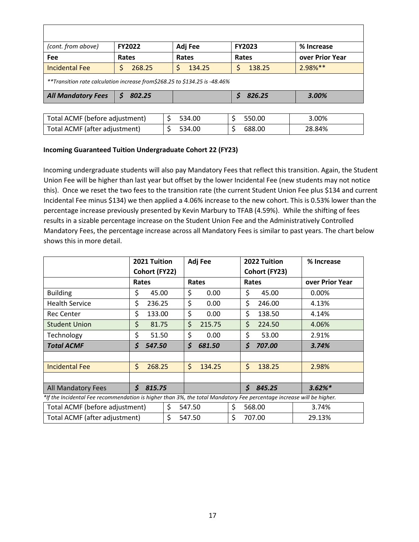| (cont. from above)                                                          | <b>FY2022</b> | Adj Fee     | <b>FY2023</b> | % Increase      |  |  |  |  |  |  |
|-----------------------------------------------------------------------------|---------------|-------------|---------------|-----------------|--|--|--|--|--|--|
| Fee                                                                         | Rates         | Rates       | Rates         | over Prior Year |  |  |  |  |  |  |
| <b>Incidental Fee</b>                                                       | 268.25<br>Ş   | Ś<br>134.25 | 138.25        | $2.98%$ **      |  |  |  |  |  |  |
| **Transition rate calculation increase from \$268.25 to \$134.25 is -48.46% |               |             |               |                 |  |  |  |  |  |  |
| <b>All Mandatory Fees</b>                                                   | 802.25<br>S   |             | 826.25<br>S   | 3.00%           |  |  |  |  |  |  |
|                                                                             |               |             |               |                 |  |  |  |  |  |  |
| Total ACMF (before adjustment)                                              |               | 534.00      | \$<br>550.00  | 3.00%           |  |  |  |  |  |  |
| Total ACMF (after adjustment)                                               |               | 534.00      | \$<br>688.00  | 28.84%          |  |  |  |  |  |  |

#### **Incoming Guaranteed Tuition Undergraduate Cohort 22 (FY23)**

Incoming undergraduate students will also pay Mandatory Fees that reflect this transition. Again, the Student Union Fee will be higher than last year but offset by the lower Incidental Fee (new students may not notice this). Once we reset the two fees to the transition rate (the current Student Union Fee plus \$134 and current Incidental Fee minus \$134) we then applied a 4.06% increase to the new cohort. This is 0.53% lower than the percentage increase previously presented by Kevin Marbury to TFAB (4.59%). While the shifting of fees results in a sizable percentage increase on the Student Union Fee and the Administratively Controlled Mandatory Fees, the percentage increase across all Mandatory Fees is similar to past years. The chart below shows this in more detail.

|                                                                                                                                 | 2021 Tuition<br>Cohort (FY22) |        | Adj Fee |        | 2022 Tuition<br>Cohort (FY23) | % Increase      |  |
|---------------------------------------------------------------------------------------------------------------------------------|-------------------------------|--------|---------|--------|-------------------------------|-----------------|--|
|                                                                                                                                 |                               | Rates  |         | Rates  | Rates                         | over Prior Year |  |
| <b>Building</b>                                                                                                                 | \$                            | 45.00  | \$      | 0.00   | \$<br>45.00                   | $0.00\%$        |  |
| <b>Health Service</b>                                                                                                           | \$                            | 236.25 | \$      | 0.00   | \$<br>246.00                  | 4.13%           |  |
| <b>Rec Center</b>                                                                                                               | \$                            | 133.00 | \$      | 0.00   | \$<br>138.50                  | 4.14%           |  |
| <b>Student Union</b>                                                                                                            | \$                            | 81.75  | \$      | 215.75 | \$<br>224.50                  | 4.06%           |  |
| Technology                                                                                                                      | \$                            | 51.50  | \$      | 0.00   | \$<br>53.00                   | 2.91%           |  |
| <b>Total ACMF</b>                                                                                                               | \$                            | 547.50 | \$      | 681.50 | \$<br>707.00                  | 3.74%           |  |
|                                                                                                                                 |                               |        |         |        |                               |                 |  |
| <b>Incidental Fee</b>                                                                                                           | \$                            | 268.25 | \$      | 134.25 | \$<br>138.25                  | 2.98%           |  |
|                                                                                                                                 |                               |        |         |        |                               |                 |  |
| <b>All Mandatory Fees</b>                                                                                                       | \$                            | 815.75 |         |        | \$<br>845.25                  | $3.62%$ *       |  |
| *If the Incidental Fee recommendation is higher than 3%, the total Mandatory Fee percentage increase will be higher.            |                               |        |         |        |                               |                 |  |
| $\tau$ , it can if $\tau$ is a contract in the case of $\tau$<br>$\overline{A}$<br>$\sim$ $\sim$ $\sim$<br>$\sim$ $\sim$ $\sim$ |                               |        |         |        |                               |                 |  |

| The includental red recommendation is inquired than 3%, the total mandatory red percentage increase will be inquer. |  |        |  |        |        |
|---------------------------------------------------------------------------------------------------------------------|--|--------|--|--------|--------|
| Total ACMF (before adjustment)                                                                                      |  | 547.50 |  | 568.00 | 3.74%  |
| Total ACMF (after adjustment)                                                                                       |  | 547.50 |  | 707.00 | 29.13% |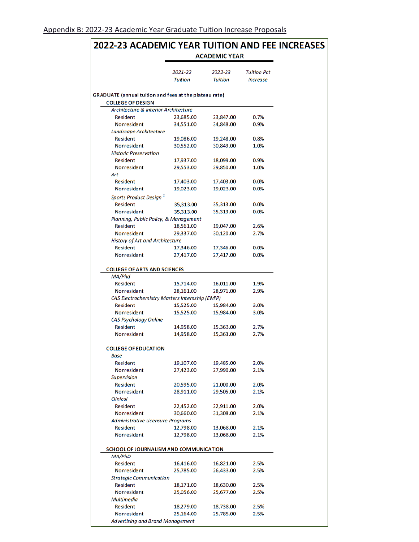Nonresident

Nonresident

Art

**Historic Preservation** Resident

#### 2022-23 ACADEMIC YEAR TUITION AND FEE INCREASES **ACADEMIC YEAR** 2021-22 2022-23 **Tuition Pct Tuition Tuition Increase GRADUATE** (annual tuition and fees at the plateau rate) **COLLEGE OF DESIGN** Architecture & Interior Architecture Resident 23,847.00 0.7% 23,685.00 34,848.00 34,551.00 0.9% Nonresident Landscape Architecture Resident 19,086.00 19,248.00 0.8%

30,849.00

18,099.00

29,850.00

1.0%

0.9%

1.0%

| <b>Resident</b>                                | 17,403.00 | 17,403.00 | 0.0% |
|------------------------------------------------|-----------|-----------|------|
| Nonresident                                    | 19,023.00 | 19,023.00 | 0.0% |
| Sports Product Design <sup>1</sup>             |           |           |      |
| <b>Resident</b>                                | 35,313.00 | 35,313.00 | 0.0% |
| <b>Nonresident</b>                             | 35,313.00 | 35,313.00 | 0.0% |
| Planning, Public Policy, & Management          |           |           |      |
| <b>Resident</b>                                | 18,561.00 | 19,047.00 | 2.6% |
| Nonresident                                    | 29,337.00 | 30,120.00 | 2.7% |
| <b>History of Art and Architecture</b>         |           |           |      |
| <b>Resident</b>                                | 17,346.00 | 17,346.00 | 0.0% |
| Nonresident                                    | 27,417.00 | 27,417.00 | 0.0% |
|                                                |           |           |      |
| <b>COLLEGE OF ARTS AND SCIENCES</b>            |           |           |      |
| MA/Phd                                         |           |           |      |
| Resident                                       | 15,714.00 | 16,011.00 | 1.9% |
| Nonresident                                    | 28,161.00 | 28,971.00 | 2.9% |
| CAS Electrochemistry Masters Internship (EMIP) |           |           |      |
| Resident                                       | 15,525.00 | 15,984.00 | 3.0% |
| <b>Nonresident</b>                             | 15,525.00 | 15,984.00 | 3.0% |
| CAS Psychology Online                          |           |           |      |
| <b>Resident</b>                                | 14,958.00 | 15,363.00 | 2.7% |
| Nonresident                                    | 14,958.00 | 15,363.00 | 2.7% |
| <b>COLLEGE OF EDUCATION</b>                    |           |           |      |
| Base                                           |           |           |      |
| <b>Resident</b>                                | 19,107.00 | 19,485.00 | 2.0% |
| <b>Nonresident</b>                             | 27,423.00 | 27,990.00 | 2.1% |
| <b>Supervision</b>                             |           |           |      |
| <b>Resident</b>                                | 20,595.00 | 21,000.00 | 2.0% |
| <b>Nonresident</b>                             | 28,911.00 | 29,505.00 | 2.1% |
| <b>Clinical</b>                                |           |           |      |
| <b>Resident</b>                                | 22,452.00 | 22,911.00 | 2.0% |
| Nonresident                                    | 30,660.00 | 31,308.00 | 2.1% |
| Administrative Licensure Programs              |           |           |      |
| <b>Resident</b>                                | 12,798.00 | 13,068.00 | 2.1% |
| <b>Nonresident</b>                             | 12,798.00 | 13,068.00 | 2.1% |

30,552.00

17,937.00

29,553.00

#### SCHOOL OF JOURNALISM AND COMMUNICATION

| MA/PhD                                  |           |           |      |
|-----------------------------------------|-----------|-----------|------|
| <b>Resident</b>                         | 16,416.00 | 16,821.00 | 2.5% |
| <b>Nonresident</b>                      | 25,785.00 | 26,433.00 | 2.5% |
| <b>Strategic Communication</b>          |           |           |      |
| <b>Resident</b>                         | 18,171.00 | 18,630.00 | 2.5% |
| <b>Nonresident</b>                      | 25,056.00 | 25,677.00 | 2.5% |
| <b>Multimedia</b>                       |           |           |      |
| <b>Resident</b>                         | 18,279.00 | 18,738.00 | 2.5% |
| <b>Nonresident</b>                      | 25,164.00 | 25,785.00 | 2.5% |
| <b>Advertising and Brand Management</b> |           |           |      |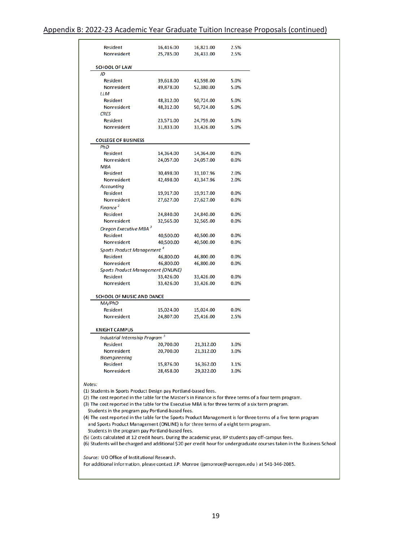#### Appendix B: 2022-23 Academic Year Graduate Tuition Increase Proposals (continued)

| <b>Resident</b>                                                    | 16,416.00 | 16,821.00 | 2.5% |
|--------------------------------------------------------------------|-----------|-----------|------|
| Nonresident                                                        | 25,785.00 | 26,433.00 | 2.5% |
|                                                                    |           |           |      |
| <b>SCHOOL OF LAW</b><br>JD                                         |           |           |      |
| <b>Resident</b>                                                    | 39,618.00 | 41,598.00 | 5.0% |
| <b>Nonresident</b>                                                 | 49,878.00 | 52,380.00 | 5.0% |
| LLM                                                                |           |           |      |
| <b>Resident</b>                                                    | 48,312.00 | 50,724.00 | 5.0% |
| Nonresident                                                        | 48,312.00 | 50,724.00 | 5.0% |
| <b>CRES</b>                                                        |           |           |      |
| <b>Resident</b>                                                    | 23,571.00 | 24,759.00 | 5.0% |
| Nonresident                                                        | 31,833.00 | 33,426.00 | 5.0% |
|                                                                    |           |           |      |
| <b>COLLEGE OF BUSINESS</b>                                         |           |           |      |
| PhD                                                                |           |           |      |
| <b>Resident</b>                                                    | 14,364.00 | 14,364.00 | 0.0% |
| <b>Nonresident</b>                                                 | 24,057.00 | 24,057.00 | 0.0% |
| <b>MBA</b>                                                         |           |           |      |
| <b>Resident</b>                                                    | 30,498.00 | 31,107.96 | 2.0% |
| <b>Nonresident</b>                                                 | 42,498.00 | 43,347.96 | 2.0% |
| <b>Accounting</b>                                                  |           |           |      |
| <b>Resident</b>                                                    | 19,917.00 | 19,917.00 | 0.0% |
| <b>Nonresident</b>                                                 | 27,627.00 | 27,627.00 | 0.0% |
| Finance <sup>2</sup>                                               |           |           |      |
| <b>Resident</b>                                                    | 24,840.00 | 24,840.00 | 0.0% |
| <b>Nonresident</b>                                                 | 32,565.00 | 32,565.00 | 0.0% |
| Oregon Executive MBA <sup>3</sup>                                  |           |           |      |
| <b>Resident</b>                                                    | 40,500.00 | 40,500.00 | 0.0% |
| Nonresident                                                        | 40,500.00 | 40,500.00 | 0.0% |
| Sports Product Management <sup>4</sup>                             |           |           |      |
| <b>Resident</b>                                                    | 46,800.00 | 46,800.00 | 0.0% |
| <b>Nonresident</b>                                                 | 46,800.00 | 46,800.00 | 0.0% |
| <b>Sports Product Management (ONLINE)</b>                          |           |           |      |
| Resident                                                           | 33,426.00 | 33,426.00 | 0.0% |
| <b>Nonresident</b>                                                 | 33,426.00 | 33,426.00 | 0.0% |
| <b>SCHOOL OF MUSIC AND DANCE</b>                                   |           |           |      |
|                                                                    |           |           |      |
| MA/PhD                                                             |           |           |      |
| <b>Resident</b>                                                    | 15,024.00 | 15,024.00 | 0.0% |
| <b>Nonresident</b>                                                 | 24,807.00 | 25,416.00 | 2.5% |
|                                                                    |           |           |      |
|                                                                    |           |           |      |
| <b>KNIGHT CAMPUS</b><br>Industrial Internship Program <sup>5</sup> |           |           |      |
| <b>Resident</b>                                                    | 20,700.00 | 21,312.00 | 3.0% |
| Nonresident                                                        | 20,700.00 | 21,312.00 | 3.0% |
| <b>Bioengineering</b>                                              |           |           |      |
| <b>Resident</b>                                                    | 15,876.00 | 16,362.00 | 3.1% |

(1) Students in Sports Product Design pay Portland-based fees.

(2) The cost reported in the table for the Master's in Finance is for three terms of a four term program.

(3) The cost reported in the table for the Executive MBA is for three terms of a six term program.

Students in the program pay Portland-based fees.

(4) The cost reported in the table for the Sports Product Management is for three terms of a five term program and Sports Product Management (ONLINE) is for three terms of a eight term program.

Students in the program pay Portland-based fees.

(5) Costs calculated at 12 credit hours. During the academic year, IIP students pay off-campus fees.

(6) Students will be charged and additional \$20 per credit hour for undergraduate courses taken in the Business School.

Source: UO Office of Institutional Research.

For additional information, please contact J.P. Monroe (jpmonroe@uoregon.edu) at 541-346-2085.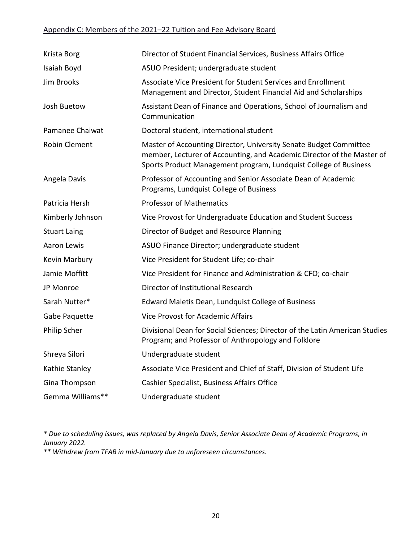# Appendix C: Members of the 2021–22 Tuition and Fee Advisory Board

| Krista Borg          | Director of Student Financial Services, Business Affairs Office                                                                                                                                                 |
|----------------------|-----------------------------------------------------------------------------------------------------------------------------------------------------------------------------------------------------------------|
| Isaiah Boyd          | ASUO President; undergraduate student                                                                                                                                                                           |
| Jim Brooks           | Associate Vice President for Student Services and Enrollment<br>Management and Director, Student Financial Aid and Scholarships                                                                                 |
| Josh Buetow          | Assistant Dean of Finance and Operations, School of Journalism and<br>Communication                                                                                                                             |
| Pamanee Chaiwat      | Doctoral student, international student                                                                                                                                                                         |
| <b>Robin Clement</b> | Master of Accounting Director, University Senate Budget Committee<br>member, Lecturer of Accounting, and Academic Director of the Master of<br>Sports Product Management program, Lundquist College of Business |
| Angela Davis         | Professor of Accounting and Senior Associate Dean of Academic<br>Programs, Lundquist College of Business                                                                                                        |
| Patricia Hersh       | <b>Professor of Mathematics</b>                                                                                                                                                                                 |
| Kimberly Johnson     | Vice Provost for Undergraduate Education and Student Success                                                                                                                                                    |
| <b>Stuart Laing</b>  | Director of Budget and Resource Planning                                                                                                                                                                        |
| Aaron Lewis          | ASUO Finance Director; undergraduate student                                                                                                                                                                    |
| Kevin Marbury        | Vice President for Student Life; co-chair                                                                                                                                                                       |
| Jamie Moffitt        | Vice President for Finance and Administration & CFO; co-chair                                                                                                                                                   |
| JP Monroe            | Director of Institutional Research                                                                                                                                                                              |
| Sarah Nutter*        | Edward Maletis Dean, Lundquist College of Business                                                                                                                                                              |
| Gabe Paquette        | <b>Vice Provost for Academic Affairs</b>                                                                                                                                                                        |
| Philip Scher         | Divisional Dean for Social Sciences; Director of the Latin American Studies<br>Program; and Professor of Anthropology and Folklore                                                                              |
| Shreya Silori        | Undergraduate student                                                                                                                                                                                           |
| Kathie Stanley       | Associate Vice President and Chief of Staff, Division of Student Life                                                                                                                                           |
| Gina Thompson        | Cashier Specialist, Business Affairs Office                                                                                                                                                                     |
| Gemma Williams**     | Undergraduate student                                                                                                                                                                                           |

*\* Due to scheduling issues, was replaced by Angela Davis, Senior Associate Dean of Academic Programs, in January 2022.*

*\*\* Withdrew from TFAB in mid-January due to unforeseen circumstances.*